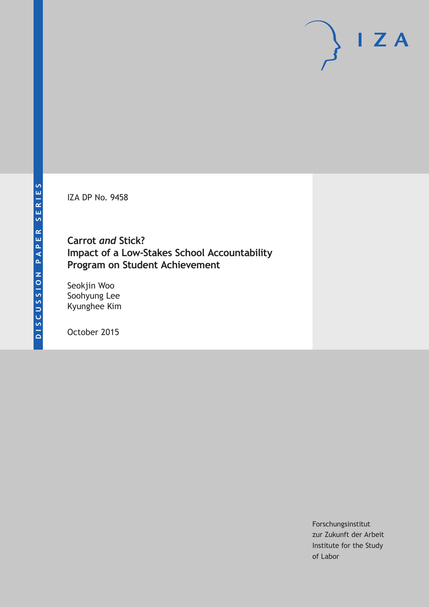IZA DP No. 9458

**Carrot** *and* **Stick? Impact of a Low-Stakes School Accountability Program on Student Achievement**

Seokjin Woo Soohyung Lee Kyunghee Kim

October 2015

Forschungsinstitut zur Zukunft der Arbeit Institute for the Study of Labor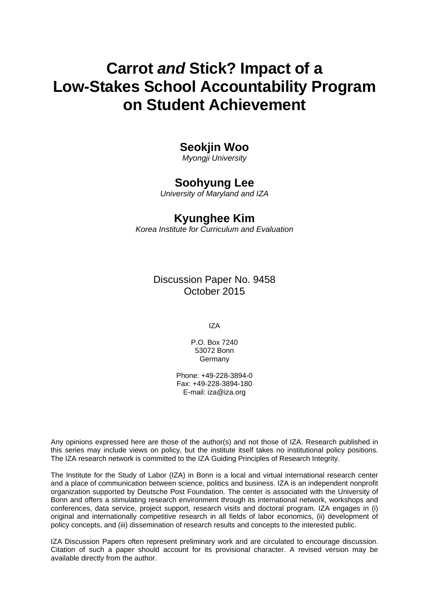# **Carrot** *and* **Stick? Impact of a Low-Stakes School Accountability Program on Student Achievement**

## **Seokjin Woo**

*Myongji University* 

### **Soohyung Lee**

*University of Maryland and IZA* 

### **Kyunghee Kim**

*Korea Institute for Curriculum and Evaluation*

Discussion Paper No. 9458 October 2015

IZA

P.O. Box 7240 53072 Bonn **Germany** 

Phone: +49-228-3894-0 Fax: +49-228-3894-180 E-mail: iza@iza.org

Any opinions expressed here are those of the author(s) and not those of IZA. Research published in this series may include views on policy, but the institute itself takes no institutional policy positions. The IZA research network is committed to the IZA Guiding Principles of Research Integrity.

The Institute for the Study of Labor (IZA) in Bonn is a local and virtual international research center and a place of communication between science, politics and business. IZA is an independent nonprofit organization supported by Deutsche Post Foundation. The center is associated with the University of Bonn and offers a stimulating research environment through its international network, workshops and conferences, data service, project support, research visits and doctoral program. IZA engages in (i) original and internationally competitive research in all fields of labor economics, (ii) development of policy concepts, and (iii) dissemination of research results and concepts to the interested public.

IZA Discussion Papers often represent preliminary work and are circulated to encourage discussion. Citation of such a paper should account for its provisional character. A revised version may be available directly from the author.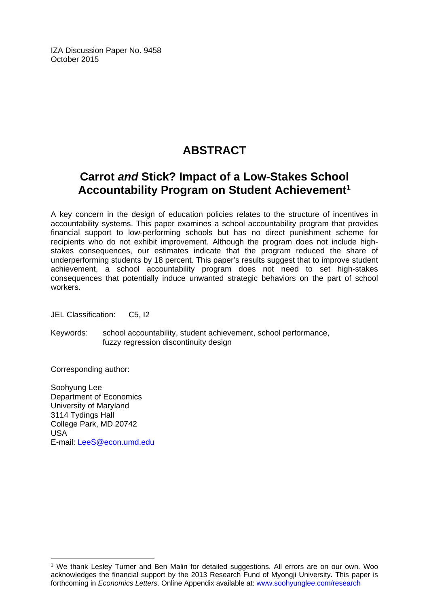IZA Discussion Paper No. 9458 October 2015

# **ABSTRACT**

# **Carrot** *and* **Stick? Impact of a Low-Stakes School Accountability Program on Student Achievement1**

A key concern in the design of education policies relates to the structure of incentives in accountability systems. This paper examines a school accountability program that provides financial support to low-performing schools but has no direct punishment scheme for recipients who do not exhibit improvement. Although the program does not include highstakes consequences, our estimates indicate that the program reduced the share of underperforming students by 18 percent. This paper's results suggest that to improve student achievement, a school accountability program does not need to set high-stakes consequences that potentially induce unwanted strategic behaviors on the part of school workers.

JEL Classification: C5, I2

Keywords: school accountability, student achievement, school performance, fuzzy regression discontinuity design

Corresponding author:

 $\overline{\phantom{a}}$ 

Soohyung Lee Department of Economics University of Maryland 3114 Tydings Hall College Park, MD 20742 USA E-mail: LeeS@econ.umd.edu

<sup>&</sup>lt;sup>1</sup> We thank Lesley Turner and Ben Malin for detailed suggestions. All errors are on our own. Woo acknowledges the financial support by the 2013 Research Fund of Myongji University. This paper is forthcoming in *Economics Letters*. Online Appendix available at: www.soohyunglee.com/research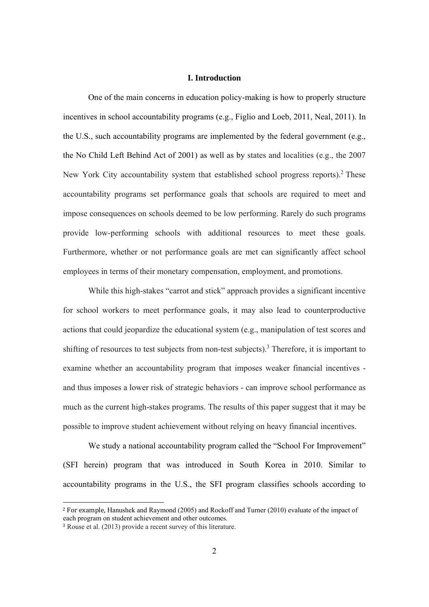#### **I. Introduction**

One of the main concerns in education policy-making is how to properly structure incentives in school accountability programs (e.g., Figlio and Loeb, 2011, Neal, 2011). In the U.S., such accountability programs are implemented by the federal government (e.g., the No Child Left Behind Act of 2001) as well as by states and localities (e.g., the 2007 New York City accountability system that established school progress reports).<sup>2</sup> These accountability programs set performance goals that schools are required to meet and impose consequences on schools deemed to be low performing. Rarely do such programs provide low-performing schools with additional resources to meet these goals. Furthermore, whether or not performance goals are met can significantly affect school employees in terms of their monetary compensation, employment, and promotions.

While this high-stakes "carrot and stick" approach provides a significant incentive for school workers to meet performance goals, it may also lead to counterproductive actions that could jeopardize the educational system (e.g., manipulation of test scores and shifting of resources to test subjects from non-test subjects).<sup>3</sup> Therefore, it is important to examine whether an accountability program that imposes weaker financial incentives and thus imposes a lower risk of strategic behaviors - can improve school performance as much as the current high-stakes programs. The results of this paper suggest that it may be possible to improve student achievement without relying on heavy financial incentives.

We study a national accountability program called the "School For Improvement" (SFI herein) program that was introduced in South Korea in 2010. Similar to accountability programs in the U.S., the SFI program classifies schools according to

<sup>&</sup>lt;sup>2</sup> For example, Hanushek and Raymond (2005) and Rockoff and Turner (2010) evaluate of the impact of each program on student achievement and other outcomes.

<sup>3</sup> Rouse et al. (2013) provide a recent survey of this literature.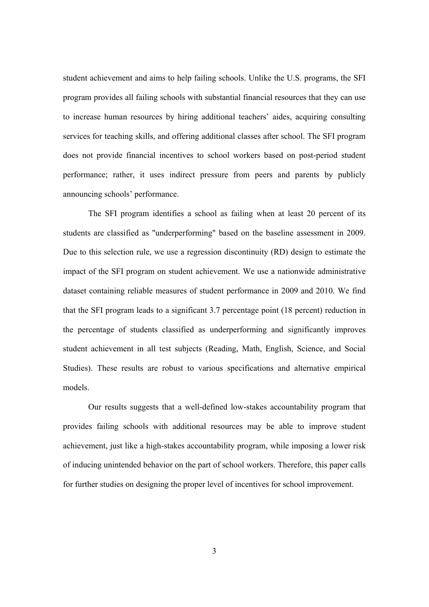student achievement and aims to help failing schools. Unlike the U.S. programs, the SFI program provides all failing schools with substantial financial resources that they can use to increase human resources by hiring additional teachers' aides, acquiring consulting services for teaching skills, and offering additional classes after school. The SFI program does not provide financial incentives to school workers based on post-period student performance; rather, it uses indirect pressure from peers and parents by publicly announcing schools' performance.

The SFI program identifies a school as failing when at least 20 percent of its students are classified as "underperforming" based on the baseline assessment in 2009. Due to this selection rule, we use a regression discontinuity (RD) design to estimate the impact of the SFI program on student achievement. We use a nationwide administrative dataset containing reliable measures of student performance in 2009 and 2010. We find that the SFI program leads to a significant 3.7 percentage point (18 percent) reduction in the percentage of students classified as underperforming and significantly improves student achievement in all test subjects (Reading, Math, English, Science, and Social Studies). These results are robust to various specifications and alternative empirical models.

Our results suggests that a well-defined low-stakes accountability program that provides failing schools with additional resources may be able to improve student achievement, just like a high-stakes accountability program, while imposing a lower risk of inducing unintended behavior on the part of school workers. Therefore, this paper calls for further studies on designing the proper level of incentives for school improvement.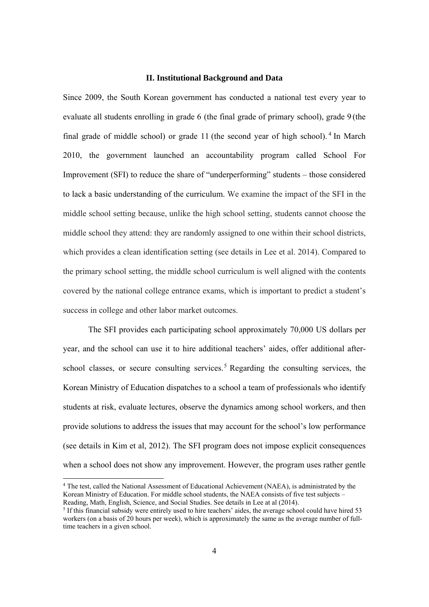#### **II. Institutional Background and Data**

Since 2009, the South Korean government has conducted a national test every year to evaluate all students enrolling in grade 6 (the final grade of primary school), grade 9 (the final grade of middle school) or grade 11 (the second year of high school). 4 In March 2010, the government launched an accountability program called School For Improvement (SFI) to reduce the share of "underperforming" students – those considered to lack a basic understanding of the curriculum. We examine the impact of the SFI in the middle school setting because, unlike the high school setting, students cannot choose the middle school they attend: they are randomly assigned to one within their school districts, which provides a clean identification setting (see details in Lee et al. 2014). Compared to the primary school setting, the middle school curriculum is well aligned with the contents covered by the national college entrance exams, which is important to predict a student's success in college and other labor market outcomes.

The SFI provides each participating school approximately 70,000 US dollars per year, and the school can use it to hire additional teachers' aides, offer additional afterschool classes, or secure consulting services.<sup>5</sup> Regarding the consulting services, the Korean Ministry of Education dispatches to a school a team of professionals who identify students at risk, evaluate lectures, observe the dynamics among school workers, and then provide solutions to address the issues that may account for the school's low performance (see details in Kim et al, 2012). The SFI program does not impose explicit consequences when a school does not show any improvement. However, the program uses rather gentle

<sup>&</sup>lt;sup>4</sup> The test, called the National Assessment of Educational Achievement (NAEA), is administrated by the Korean Ministry of Education. For middle school students, the NAEA consists of five test subjects – Reading, Math, English, Science, and Social Studies. See details in Lee at al (2014).

<sup>&</sup>lt;sup>5</sup> If this financial subsidy were entirely used to hire teachers' aides, the average school could have hired 53 workers (on a basis of 20 hours per week), which is approximately the same as the average number of fulltime teachers in a given school.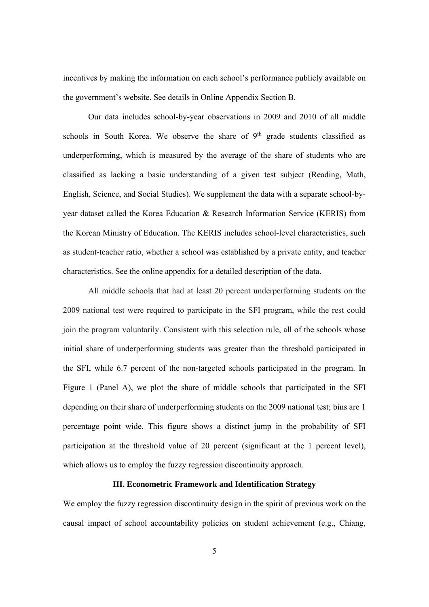incentives by making the information on each school's performance publicly available on the government's website. See details in Online Appendix Section B.

 Our data includes school-by-year observations in 2009 and 2010 of all middle schools in South Korea. We observe the share of  $9<sup>th</sup>$  grade students classified as underperforming, which is measured by the average of the share of students who are classified as lacking a basic understanding of a given test subject (Reading, Math, English, Science, and Social Studies). We supplement the data with a separate school-byyear dataset called the Korea Education & Research Information Service (KERIS) from the Korean Ministry of Education. The KERIS includes school-level characteristics, such as student-teacher ratio, whether a school was established by a private entity, and teacher characteristics. See the online appendix for a detailed description of the data.

 All middle schools that had at least 20 percent underperforming students on the 2009 national test were required to participate in the SFI program, while the rest could join the program voluntarily. Consistent with this selection rule, all of the schools whose initial share of underperforming students was greater than the threshold participated in the SFI, while 6.7 percent of the non-targeted schools participated in the program. In Figure 1 (Panel A), we plot the share of middle schools that participated in the SFI depending on their share of underperforming students on the 2009 national test; bins are 1 percentage point wide. This figure shows a distinct jump in the probability of SFI participation at the threshold value of 20 percent (significant at the 1 percent level), which allows us to employ the fuzzy regression discontinuity approach.

#### **III. Econometric Framework and Identification Strategy**

We employ the fuzzy regression discontinuity design in the spirit of previous work on the causal impact of school accountability policies on student achievement (e.g., Chiang,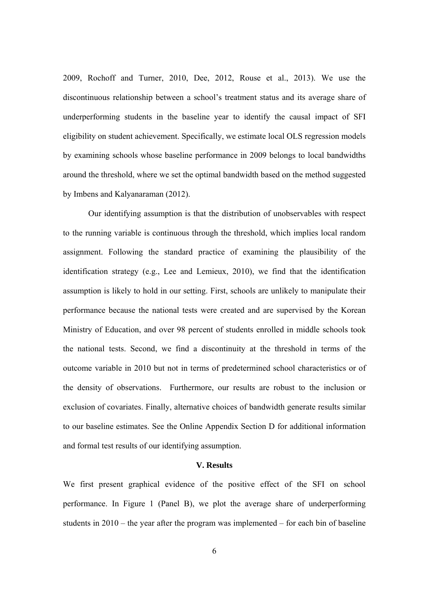2009, Rochoff and Turner, 2010, Dee, 2012, Rouse et al., 2013). We use the discontinuous relationship between a school's treatment status and its average share of underperforming students in the baseline year to identify the causal impact of SFI eligibility on student achievement. Specifically, we estimate local OLS regression models by examining schools whose baseline performance in 2009 belongs to local bandwidths around the threshold, where we set the optimal bandwidth based on the method suggested by Imbens and Kalyanaraman (2012).

Our identifying assumption is that the distribution of unobservables with respect to the running variable is continuous through the threshold, which implies local random assignment. Following the standard practice of examining the plausibility of the identification strategy (e.g., Lee and Lemieux, 2010), we find that the identification assumption is likely to hold in our setting. First, schools are unlikely to manipulate their performance because the national tests were created and are supervised by the Korean Ministry of Education, and over 98 percent of students enrolled in middle schools took the national tests. Second, we find a discontinuity at the threshold in terms of the outcome variable in 2010 but not in terms of predetermined school characteristics or of the density of observations. Furthermore, our results are robust to the inclusion or exclusion of covariates. Finally, alternative choices of bandwidth generate results similar to our baseline estimates. See the Online Appendix Section D for additional information and formal test results of our identifying assumption.

#### **V. Results**

We first present graphical evidence of the positive effect of the SFI on school performance. In Figure 1 (Panel B), we plot the average share of underperforming students in 2010 – the year after the program was implemented – for each bin of baseline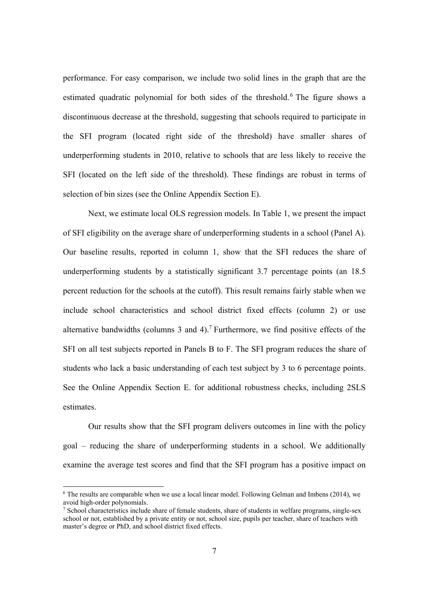performance. For easy comparison, we include two solid lines in the graph that are the estimated quadratic polynomial for both sides of the threshold.<sup>6</sup> The figure shows a discontinuous decrease at the threshold, suggesting that schools required to participate in the SFI program (located right side of the threshold) have smaller shares of underperforming students in 2010, relative to schools that are less likely to receive the SFI (located on the left side of the threshold). These findings are robust in terms of selection of bin sizes (see the Online Appendix Section E).

Next, we estimate local OLS regression models. In Table 1, we present the impact of SFI eligibility on the average share of underperforming students in a school (Panel A). Our baseline results, reported in column 1, show that the SFI reduces the share of underperforming students by a statistically significant 3.7 percentage points (an 18.5 percent reduction for the schools at the cutoff). This result remains fairly stable when we include school characteristics and school district fixed effects (column 2) or use alternative bandwidths (columns  $3$  and  $4$ ).<sup>7</sup> Furthermore, we find positive effects of the SFI on all test subjects reported in Panels B to F. The SFI program reduces the share of students who lack a basic understanding of each test subject by 3 to 6 percentage points. See the Online Appendix Section E. for additional robustness checks, including 2SLS estimates.

Our results show that the SFI program delivers outcomes in line with the policy goal – reducing the share of underperforming students in a school. We additionally examine the average test scores and find that the SFI program has a positive impact on

<sup>&</sup>lt;sup>6</sup> The results are comparable when we use a local linear model. Following Gelman and Imbens (2014), we avoid high-order polynomials.

<sup>7</sup> School characteristics include share of female students, share of students in welfare programs, single-sex school or not, established by a private entity or not, school size, pupils per teacher, share of teachers with master's degree or PhD, and school district fixed effects.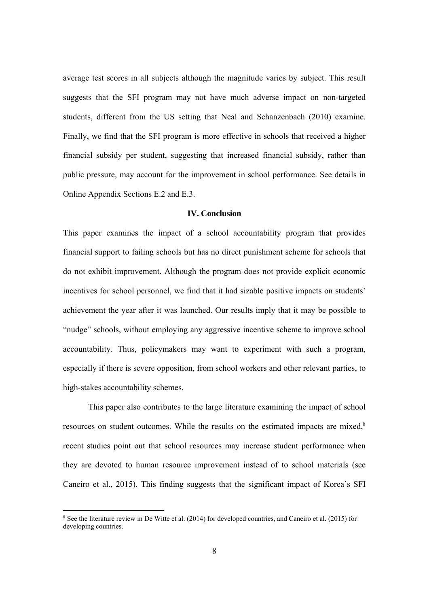average test scores in all subjects although the magnitude varies by subject. This result suggests that the SFI program may not have much adverse impact on non-targeted students, different from the US setting that Neal and Schanzenbach (2010) examine. Finally, we find that the SFI program is more effective in schools that received a higher financial subsidy per student, suggesting that increased financial subsidy, rather than public pressure, may account for the improvement in school performance. See details in Online Appendix Sections E.2 and E.3.

#### **IV. Conclusion**

This paper examines the impact of a school accountability program that provides financial support to failing schools but has no direct punishment scheme for schools that do not exhibit improvement. Although the program does not provide explicit economic incentives for school personnel, we find that it had sizable positive impacts on students' achievement the year after it was launched. Our results imply that it may be possible to "nudge" schools, without employing any aggressive incentive scheme to improve school accountability. Thus, policymakers may want to experiment with such a program, especially if there is severe opposition, from school workers and other relevant parties, to high-stakes accountability schemes.

This paper also contributes to the large literature examining the impact of school resources on student outcomes. While the results on the estimated impacts are mixed,<sup>8</sup> recent studies point out that school resources may increase student performance when they are devoted to human resource improvement instead of to school materials (see Caneiro et al., 2015). This finding suggests that the significant impact of Korea's SFI

<sup>8</sup> See the literature review in De Witte et al. (2014) for developed countries, and Caneiro et al. (2015) for developing countries.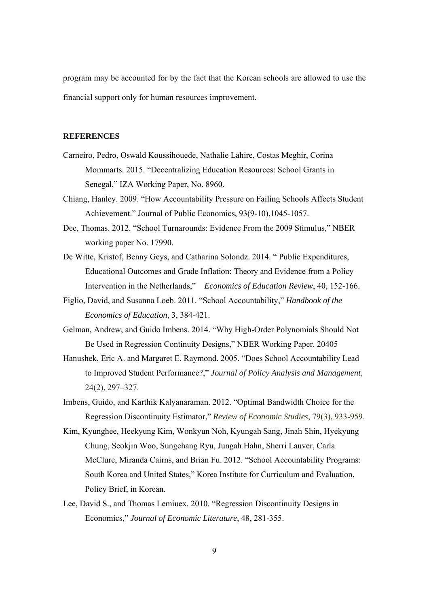program may be accounted for by the fact that the Korean schools are allowed to use the financial support only for human resources improvement.

#### **REFERENCES**

- Carneiro, Pedro, Oswald Koussihouede, Nathalie Lahire, Costas Meghir, Corina Mommarts. 2015. "Decentralizing Education Resources: School Grants in Senegal," IZA Working Paper, No. 8960.
- Chiang, Hanley. 2009. "How Accountability Pressure on Failing Schools Affects Student Achievement." Journal of Public Economics, 93(9-10),1045-1057.
- Dee, Thomas. 2012. "School Turnarounds: Evidence From the 2009 Stimulus," NBER working paper No. 17990.
- De Witte, Kristof, Benny Geys, and Catharina Solondz. 2014. " Public Expenditures, Educational Outcomes and Grade Inflation: Theory and Evidence from a Policy Intervention in the Netherlands," *Economics of Education Review*, 40, 152-166.
- Figlio, David, and Susanna Loeb. 2011. "School Accountability," *Handbook of the Economics of Education*, 3, 384-421.
- Gelman, Andrew, and Guido Imbens. 2014. "Why High-Order Polynomials Should Not Be Used in Regression Continuity Designs," NBER Working Paper. 20405
- Hanushek, Eric A. and Margaret E. Raymond. 2005. "Does School Accountability Lead to Improved Student Performance?," *Journal of Policy Analysis and Management*, 24(2), 297–327.
- Imbens, Guido, and Karthik Kalyanaraman. 2012. "Optimal Bandwidth Choice for the Regression Discontinuity Estimator," *Review of Economic Studies*, 79(3), 933-959.
- Kim, Kyunghee, Heekyung Kim, Wonkyun Noh, Kyungah Sang, Jinah Shin, Hyekyung Chung, Seokjin Woo, Sungchang Ryu, Jungah Hahn, Sherri Lauver, Carla McClure, Miranda Cairns, and Brian Fu. 2012. "School Accountability Programs: South Korea and United States," Korea Institute for Curriculum and Evaluation, Policy Brief, in Korean.
- Lee, David S., and Thomas Lemiuex. 2010. "Regression Discontinuity Designs in Economics," *Journal of Economic Literature*, 48, 281-355.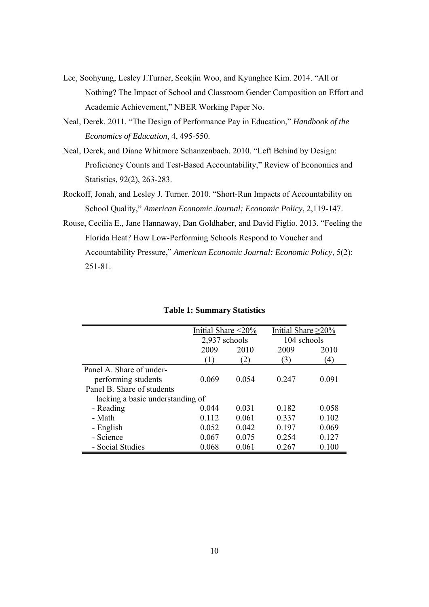- Lee, Soohyung, Lesley J.Turner, Seokjin Woo, and Kyunghee Kim. 2014. "All or Nothing? The Impact of School and Classroom Gender Composition on Effort and Academic Achievement," NBER Working Paper No.
- Neal, Derek. 2011. "The Design of Performance Pay in Education," *Handbook of the Economics of Education,* 4, 495-550.
- Neal, Derek, and Diane Whitmore Schanzenbach. 2010. "Left Behind by Design: Proficiency Counts and Test-Based Accountability," Review of Economics and Statistics, 92(2), 263-283.
- Rockoff, Jonah, and Lesley J. Turner. 2010. "Short-Run Impacts of Accountability on School Quality," *American Economic Journal: Economic Policy*, 2,119-147.
- Rouse, Cecilia E., Jane Hannaway, Dan Goldhaber, and David Figlio. 2013. "Feeling the Florida Heat? How Low-Performing Schools Respond to Voucher and Accountability Pressure," *American Economic Journal: Economic Policy*, 5(2): 251-81.

|                                  | Initial Share $\leq$ 20% |       | Initial Share $\geq$ 20% |                   |  |  |
|----------------------------------|--------------------------|-------|--------------------------|-------------------|--|--|
|                                  | 2,937 schools            |       | 104 schools              |                   |  |  |
|                                  | 2009                     | 2010  | 2009                     | 2010              |  |  |
|                                  | (1)                      | (2)   | 3)                       | $\left( 4\right)$ |  |  |
| Panel A. Share of under-         |                          |       |                          |                   |  |  |
| performing students              | 0.069                    | 0.054 | 0 247                    | 0.091             |  |  |
| Panel B. Share of students       |                          |       |                          |                   |  |  |
| lacking a basic understanding of |                          |       |                          |                   |  |  |
| - Reading                        | 0.044                    | 0.031 | 0.182                    | 0.058             |  |  |
| - Math                           | 0.112                    | 0.061 | 0.337                    | 0.102             |  |  |
| - English                        | 0.052                    | 0.042 | 0.197                    | 0.069             |  |  |
| - Science                        | 0.067                    | 0.075 | 0.254                    | 0.127             |  |  |
| - Social Studies                 | 0.068                    | 0.061 | 0.267                    | 0.100             |  |  |

#### **Table 1: Summary Statistics**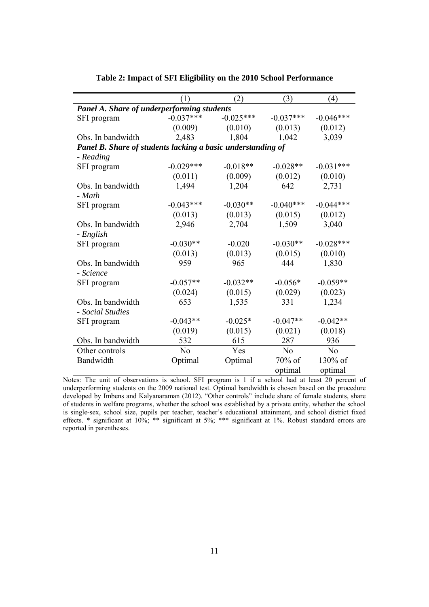|                                                             | (1)            | (2)         | (3)            | (4)            |  |  |  |
|-------------------------------------------------------------|----------------|-------------|----------------|----------------|--|--|--|
| Panel A. Share of underperforming students                  |                |             |                |                |  |  |  |
| SFI program                                                 | $-0.037***$    | $-0.025***$ | $-0.037***$    | $-0.046***$    |  |  |  |
|                                                             | (0.009)        | (0.010)     | (0.013)        | (0.012)        |  |  |  |
| Obs. In bandwidth                                           | 2,483          | 1,804       | 1,042          | 3,039          |  |  |  |
| Panel B. Share of students lacking a basic understanding of |                |             |                |                |  |  |  |
| - Reading                                                   |                |             |                |                |  |  |  |
| SFI program                                                 | $-0.029***$    | $-0.018**$  | $-0.028**$     | $-0.031***$    |  |  |  |
|                                                             | (0.011)        | (0.009)     | (0.012)        | (0.010)        |  |  |  |
| Obs. In bandwidth                                           | 1,494          | 1,204       | 642            | 2,731          |  |  |  |
| - Math                                                      |                |             |                |                |  |  |  |
| SFI program                                                 | $-0.043***$    | $-0.030**$  | $-0.040***$    | $-0.044***$    |  |  |  |
|                                                             | (0.013)        | (0.013)     | (0.015)        | (0.012)        |  |  |  |
| Obs. In bandwidth                                           | 2,946          | 2,704       | 1,509          | 3,040          |  |  |  |
| - English                                                   |                |             |                |                |  |  |  |
| SFI program                                                 | $-0.030**$     | $-0.020$    | $-0.030**$     | $-0.028***$    |  |  |  |
|                                                             | (0.013)        | (0.013)     | (0.015)        | (0.010)        |  |  |  |
| Obs. In bandwidth                                           | 959            | 965         | 444            | 1,830          |  |  |  |
| - Science                                                   |                |             |                |                |  |  |  |
| SFI program                                                 | $-0.057**$     | $-0.032**$  | $-0.056*$      | $-0.059**$     |  |  |  |
|                                                             | (0.024)        | (0.015)     | (0.029)        | (0.023)        |  |  |  |
| Obs. In bandwidth                                           | 653            | 1,535       | 331            | 1,234          |  |  |  |
| - Social Studies                                            |                |             |                |                |  |  |  |
| SFI program                                                 | $-0.043**$     | $-0.025*$   | $-0.047**$     | $-0.042**$     |  |  |  |
|                                                             | (0.019)        | (0.015)     | (0.021)        | (0.018)        |  |  |  |
| Obs. In bandwidth                                           | 532            | 615         | 287            | 936            |  |  |  |
| Other controls                                              | N <sub>0</sub> | Yes         | N <sub>0</sub> | N <sub>0</sub> |  |  |  |
| Bandwidth                                                   | Optimal        | Optimal     | 70% of         | 130% of        |  |  |  |
|                                                             |                |             | optimal        | optimal        |  |  |  |

| Table 2: Impact of SFI Eligibility on the 2010 School Performance |  |  |
|-------------------------------------------------------------------|--|--|
|                                                                   |  |  |

Notes: The unit of observations is school. SFI program is 1 if a school had at least 20 percent of underperforming students on the 2009 national test. Optimal bandwidth is chosen based on the procedure developed by Imbens and Kalyanaraman (2012). "Other controls" include share of female students, share of students in welfare programs, whether the school was established by a private entity, whether the school is single-sex, school size, pupils per teacher, teacher's educational attainment, and school district fixed effects. \* significant at 10%; \*\* significant at 5%; \*\*\* significant at 1%. Robust standard errors are reported in parentheses.